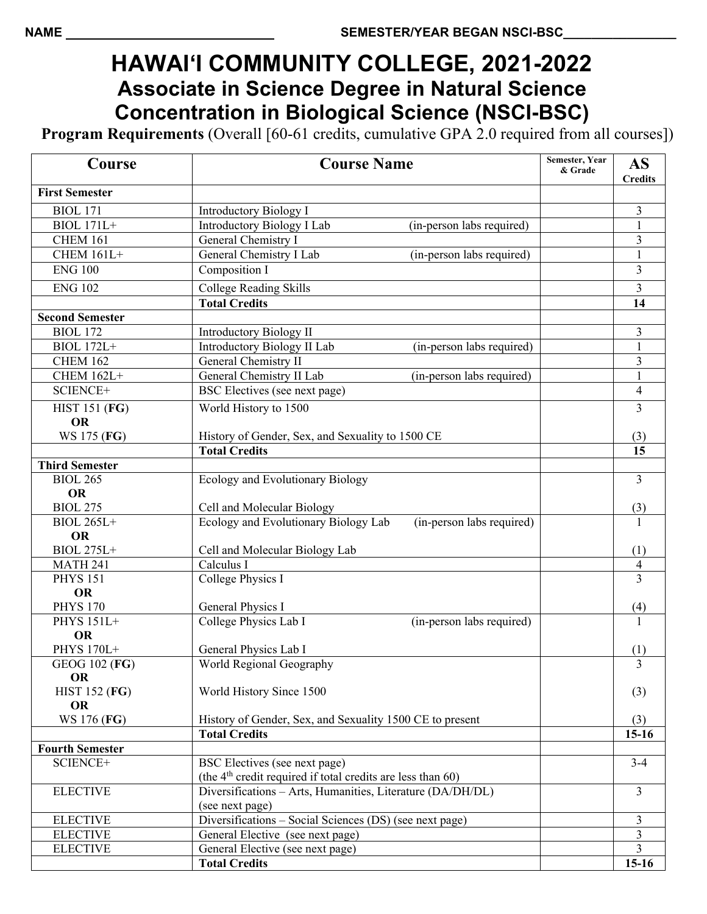## **HAWAI'I COMMUNITY COLLEGE, 2021-2022 Associate in Science Degree in Natural Science Concentration in Biological Science (NSCI-BSC)**

**Program Requirements** (Overall [60-61 credits, cumulative GPA 2.0 required from all courses])

| Course                            | <b>Course Name</b>                                                               | Semester, Year<br>& Grade | <b>AS</b><br><b>Credits</b> |
|-----------------------------------|----------------------------------------------------------------------------------|---------------------------|-----------------------------|
| <b>First Semester</b>             |                                                                                  |                           |                             |
| <b>BIOL 171</b>                   | <b>Introductory Biology I</b>                                                    |                           | 3                           |
| <b>BIOL 171L+</b>                 | <b>Introductory Biology I Lab</b><br>(in-person labs required)                   |                           | 1                           |
| <b>CHEM 161</b>                   | General Chemistry I                                                              |                           | 3                           |
| <b>CHEM 161L+</b>                 | General Chemistry I Lab<br>(in-person labs required)                             |                           | $\mathbf{1}$                |
| <b>ENG 100</b>                    | Composition I                                                                    |                           | $\overline{3}$              |
| <b>ENG 102</b>                    | College Reading Skills                                                           |                           | 3                           |
|                                   | <b>Total Credits</b>                                                             |                           | 14                          |
| <b>Second Semester</b>            |                                                                                  |                           |                             |
| <b>BIOL 172</b>                   | <b>Introductory Biology II</b>                                                   |                           | 3                           |
| <b>BIOL 172L+</b>                 | (in-person labs required)<br>Introductory Biology II Lab                         |                           |                             |
| <b>CHEM 162</b>                   | General Chemistry II                                                             |                           | $\overline{\mathbf{3}}$     |
| <b>CHEM 162L+</b>                 | General Chemistry II Lab<br>(in-person labs required)                            |                           | $\mathbf{1}$                |
| SCIENCE+                          | BSC Electives (see next page)                                                    |                           | $\overline{4}$              |
| <b>HIST 151 (FG)</b><br><b>OR</b> | World History to 1500                                                            |                           | $\overline{3}$              |
| WS 175 (FG)                       | History of Gender, Sex, and Sexuality to 1500 CE                                 |                           | (3)                         |
|                                   | <b>Total Credits</b>                                                             |                           | $\overline{15}$             |
| <b>Third Semester</b>             |                                                                                  |                           |                             |
| <b>BIOL 265</b>                   | Ecology and Evolutionary Biology                                                 |                           | 3                           |
| <b>OR</b>                         |                                                                                  |                           |                             |
| <b>BIOL 275</b>                   | Cell and Molecular Biology                                                       |                           | (3)                         |
| <b>BIOL 265L+</b>                 | Ecology and Evolutionary Biology Lab<br>(in-person labs required)                |                           | 1                           |
| <b>OR</b>                         |                                                                                  |                           |                             |
| <b>BIOL 275L+</b>                 | Cell and Molecular Biology Lab                                                   |                           | (1)                         |
| <b>MATH 241</b>                   | Calculus I                                                                       |                           | $\frac{4}{3}$               |
| <b>PHYS 151</b>                   | College Physics I                                                                |                           |                             |
| <b>OR</b><br><b>PHYS 170</b>      | General Physics I                                                                |                           |                             |
| PHYS 151L+                        | College Physics Lab I<br>(in-person labs required)                               |                           | (4)<br>$\mathbf{1}$         |
| <b>OR</b>                         |                                                                                  |                           |                             |
| PHYS 170L+                        | General Physics Lab I                                                            |                           | (1)                         |
| GEOG 102 (FG)                     | World Regional Geography                                                         |                           | $\overline{3}$              |
| <b>OR</b>                         |                                                                                  |                           |                             |
| <b>HIST 152 (FG)</b>              | World History Since 1500                                                         |                           | (3)                         |
| <b>OR</b><br>WS 176 (FG)          |                                                                                  |                           |                             |
|                                   | History of Gender, Sex, and Sexuality 1500 CE to present<br><b>Total Credits</b> |                           | (3)<br>15-16                |
| <b>Fourth Semester</b>            |                                                                                  |                           |                             |
| SCIENCE+                          | BSC Electives (see next page)                                                    |                           | $3 - 4$                     |
|                                   | (the $4th$ credit required if total credits are less than 60)                    |                           |                             |
| <b>ELECTIVE</b>                   | Diversifications - Arts, Humanities, Literature (DA/DH/DL)                       |                           | $\overline{3}$              |
|                                   | (see next page)                                                                  |                           |                             |
| <b>ELECTIVE</b>                   | Diversifications - Social Sciences (DS) (see next page)                          |                           | 3                           |
| <b>ELECTIVE</b>                   | General Elective (see next page)                                                 |                           | 3                           |
| <b>ELECTIVE</b>                   | General Elective (see next page)                                                 |                           | 3                           |
|                                   | <b>Total Credits</b>                                                             |                           | $15-16$                     |